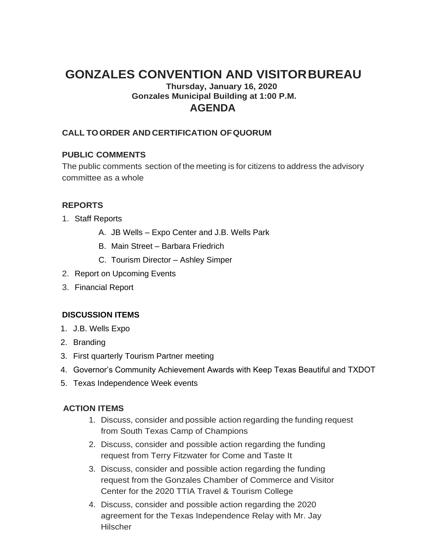# **GONZALES CONVENTION AND VISITORBUREAU**

# **Thursday, January 16, 2020 Gonzales Municipal Building at 1:00 P.M. AGENDA**

# **CALL TOORDER AND CERTIFICATION OFQUORUM**

### **PUBLIC COMMENTS**

The public comments section of the meeting is for citizens to address the advisory committee as a whole

# **REPORTS**

- 1. Staff Reports
	- A. JB Wells Expo Center and J.B. Wells Park
	- B. Main Street Barbara Friedrich
	- C. Tourism Director Ashley Simper
- 2. Report on Upcoming Events
- 3. Financial Report

### **DISCUSSION ITEMS**

- 1. J.B. Wells Expo
- 2. Branding
- 3. First quarterly Tourism Partner meeting
- 4. Governor's Community Achievement Awards with Keep Texas Beautiful and TXDOT
- 5. Texas Independence Week events

#### **ACTION ITEMS**

- 1. Discuss, consider and possible action regarding the funding request from South Texas Camp of Champions
- 2. Discuss, consider and possible action regarding the funding request from Terry Fitzwater for Come and Taste It
- 3. Discuss, consider and possible action regarding the funding request from the Gonzales Chamber of Commerce and Visitor Center for the 2020 TTIA Travel & Tourism College
- 4. Discuss, consider and possible action regarding the 2020 agreement for the Texas Independence Relay with Mr. Jay **Hilscher**